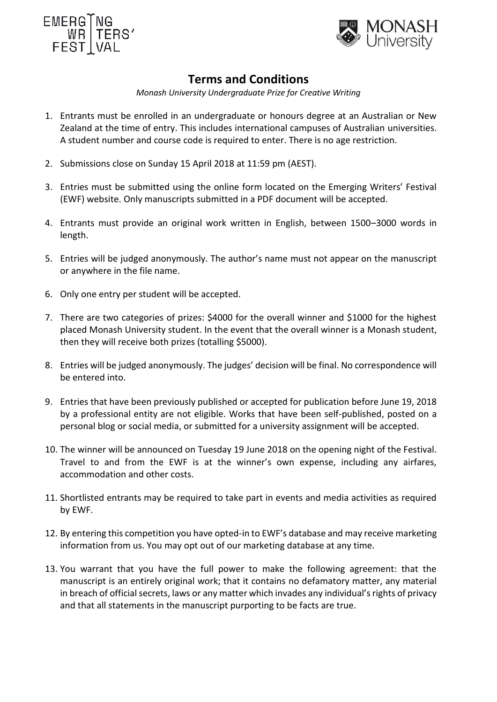



## **Terms and Conditions**

*Monash University Undergraduate Prize for Creative Writing*

- 1. Entrants must be enrolled in an undergraduate or honours degree at an Australian or New Zealand at the time of entry. This includes international campuses of Australian universities. A student number and course code is required to enter. There is no age restriction.
- 2. Submissions close on Sunday 15 April 2018 at 11:59 pm (AEST).
- 3. Entries must be submitted using the online form located on the Emerging Writers' Festival (EWF) website. Only manuscripts submitted in a PDF document will be accepted.
- 4. Entrants must provide an original work written in English, between 1500–3000 words in length.
- 5. Entries will be judged anonymously. The author's name must not appear on the manuscript or anywhere in the file name.
- 6. Only one entry per student will be accepted.
- 7. There are two categories of prizes: \$4000 for the overall winner and \$1000 for the highest placed Monash University student. In the event that the overall winner is a Monash student, then they will receive both prizes (totalling \$5000).
- 8. Entries will be judged anonymously. The judges' decision will be final. No correspondence will be entered into.
- 9. Entries that have been previously published or accepted for publication before June 19, 2018 by a professional entity are not eligible. Works that have been self-published, posted on a personal blog or social media, or submitted for a university assignment will be accepted.
- 10. The winner will be announced on Tuesday 19 June 2018 on the opening night of the Festival. Travel to and from the EWF is at the winner's own expense, including any airfares, accommodation and other costs.
- 11. Shortlisted entrants may be required to take part in events and media activities as required by EWF.
- 12. By entering this competition you have opted-in to EWF's database and may receive marketing information from us. You may opt out of our marketing database at any time.
- 13. You warrant that you have the full power to make the following agreement: that the manuscript is an entirely original work; that it contains no defamatory matter, any material in breach of official secrets, laws or any matter which invades any individual's rights of privacy and that all statements in the manuscript purporting to be facts are true.